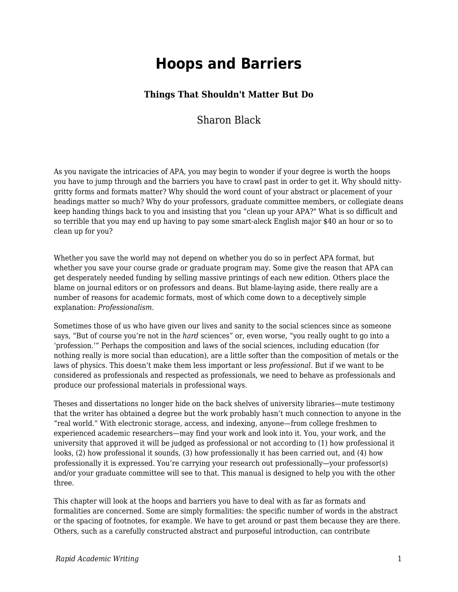# **Hoops and Barriers**

# **Things That Shouldn't Matter But Do**

# Sharon Black

As you navigate the intricacies of APA, you may begin to wonder if your degree is worth the hoops you have to jump through and the barriers you have to crawl past in order to get it. Why should nittygritty forms and formats matter? Why should the word count of your abstract or placement of your headings matter so much? Why do your professors, graduate committee members, or collegiate deans keep handing things back to you and insisting that you "clean up your APA?" What is so difficult and so terrible that you may end up having to pay some smart-aleck English major \$40 an hour or so to clean up for you?

Whether you save the world may not depend on whether you do so in perfect APA format, but whether you save your course grade or graduate program may. Some give the reason that APA can get desperately needed funding by selling massive printings of each new edition. Others place the blame on journal editors or on professors and deans. But blame-laying aside, there really are a number of reasons for academic formats, most of which come down to a deceptively simple explanation: *Professionalism.*

Sometimes those of us who have given our lives and sanity to the social sciences since as someone says, "But of course you're not in the *hard* sciences" or, even worse, "you really ought to go into a 'profession.'" Perhaps the composition and laws of the social sciences, including education (for nothing really is more social than education), are a little softer than the composition of metals or the laws of physics. This doesn't make them less important or less *professional*. But if we want to be considered as professionals and respected as professionals, we need to behave as professionals and produce our professional materials in professional ways.

Theses and dissertations no longer hide on the back shelves of university libraries—mute testimony that the writer has obtained a degree but the work probably hasn't much connection to anyone in the "real world." With electronic storage, access, and indexing, anyone—from college freshmen to experienced academic researchers—may find your work and look into it. You, your work, and the university that approved it will be judged as professional or not according to (1) how professional it looks, (2) how professional it sounds, (3) how professionally it has been carried out, and (4) how professionally it is expressed. You're carrying your research out professionally—your professor(s) and/or your graduate committee will see to that. This manual is designed to help you with the other three.

This chapter will look at the hoops and barriers you have to deal with as far as formats and formalities are concerned. Some are simply formalities: the specific number of words in the abstract or the spacing of footnotes, for example. We have to get around or past them because they are there. Others, such as a carefully constructed abstract and purposeful introduction, can contribute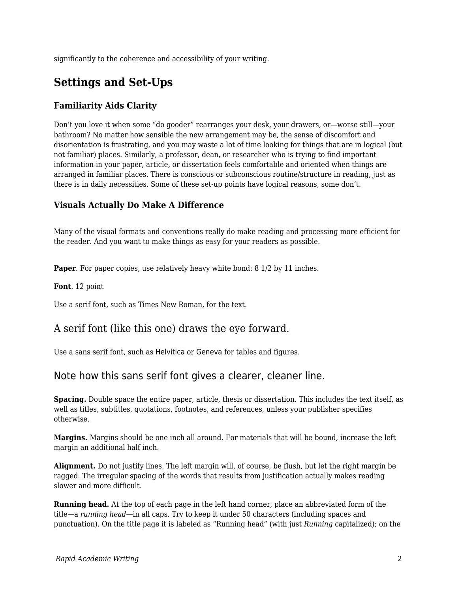significantly to the coherence and accessibility of your writing.

# **Settings and Set-Ups**

### **Familiarity Aids Clarity**

Don't you love it when some "do gooder" rearranges your desk, your drawers, or—worse still—your bathroom? No matter how sensible the new arrangement may be, the sense of discomfort and disorientation is frustrating, and you may waste a lot of time looking for things that are in logical (but not familiar) places. Similarly, a professor, dean, or researcher who is trying to find important information in your paper, article, or dissertation feels comfortable and oriented when things are arranged in familiar places. There is conscious or subconscious routine/structure in reading, just as there is in daily necessities. Some of these set-up points have logical reasons, some don't.

### **Visuals Actually Do Make A Difference**

Many of the visual formats and conventions really do make reading and processing more efficient for the reader. And you want to make things as easy for your readers as possible.

**Paper**. For paper copies, use relatively heavy white bond: 8 1/2 by 11 inches.

**Font**. 12 point

Use a serif font, such as Times New Roman, for the text.

# A serif font (like this one) draws the eye forward.

Use a sans serif font, such as Helvitica or Geneva for tables and figures.

# Note how this sans serif font gives a clearer, cleaner line.

**Spacing.** Double space the entire paper, article, thesis or dissertation. This includes the text itself, as well as titles, subtitles, quotations, footnotes, and references, unless your publisher specifies otherwise.

**Margins.** Margins should be one inch all around. For materials that will be bound, increase the left margin an additional half inch.

**Alignment.** Do not justify lines. The left margin will, of course, be flush, but let the right margin be ragged. The irregular spacing of the words that results from justification actually makes reading slower and more difficult.

**Running head.** At the top of each page in the left hand corner, place an abbreviated form of the title—a *running head—*in all caps. Try to keep it under 50 characters (including spaces and punctuation). On the title page it is labeled as "Running head" (with just *Running* capitalized); on the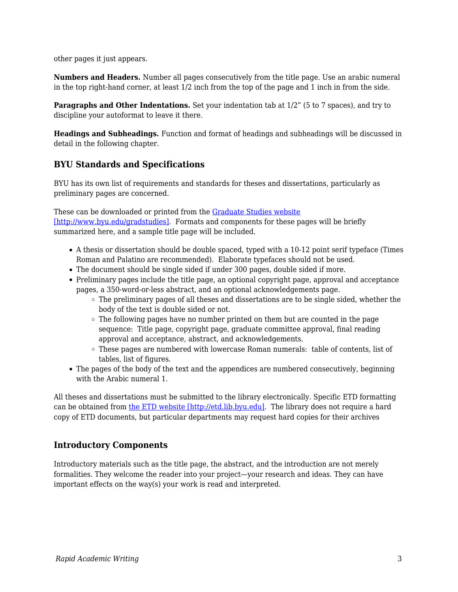other pages it just appears.

**Numbers and Headers.** Number all pages consecutively from the title page. Use an arabic numeral in the top right-hand corner, at least 1/2 inch from the top of the page and 1 inch in from the side.

**Paragraphs and Other Indentations.** Set your indentation tab at  $1/2$ " (5 to 7 spaces), and try to discipline your autoformat to leave it there.

**Headings and Subheadings.** Function and format of headings and subheadings will be discussed in detail in the following chapter.

### **BYU Standards and Specifications**

BYU has its own list of requirements and standards for theses and dissertations, particularly as preliminary pages are concerned.

These can be downloaded or printed from the [Graduate Studies website](http://www.byu.edu/gradstudies) [\[http://www.byu.edu/gradstudies\]](http://www.byu.edu/gradstudies). Formats and components for these pages will be briefly summarized here, and a sample title page will be included.

- A thesis or dissertation should be double spaced, typed with a 10-12 point serif typeface (Times Roman and Palatino are recommended). Elaborate typefaces should not be used.
- The document should be single sided if under 300 pages, double sided if more.
- Preliminary pages include the title page, an optional copyright page, approval and acceptance pages, a 350-word-or-less abstract, and an optional acknowledgements page.
	- The preliminary pages of all theses and dissertations are to be single sided, whether the body of the text is double sided or not.
	- $\circ$  The following pages have no number printed on them but are counted in the page sequence: Title page, copyright page, graduate committee approval, final reading approval and acceptance, abstract, and acknowledgements.
	- These pages are numbered with lowercase Roman numerals: table of contents, list of tables, list of figures.
- The pages of the body of the text and the appendices are numbered consecutively, beginning with the Arabic numeral 1.

All theses and dissertations must be submitted to the library electronically. Specific ETD formatting can be obtained from [the ETD website \[http://etd.lib.byu.edu\].](http://etd.lib.byu.edu) The library does not require a hard copy of ETD documents, but particular departments may request hard copies for their archives

### **Introductory Components**

Introductory materials such as the title page, the abstract, and the introduction are not merely formalities. They welcome the reader into your project—your research and ideas. They can have important effects on the way(s) your work is read and interpreted.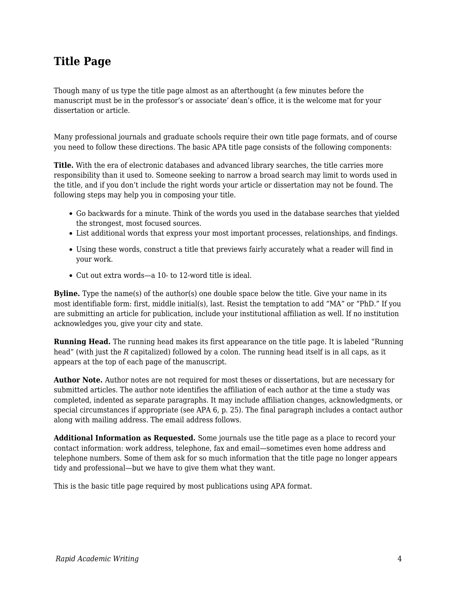# **Title Page**

Though many of us type the title page almost as an afterthought (a few minutes before the manuscript must be in the professor's or associate' dean's office, it is the welcome mat for your dissertation or article.

Many professional journals and graduate schools require their own title page formats, and of course you need to follow these directions. The basic APA title page consists of the following components:

**Title.** With the era of electronic databases and advanced library searches, the title carries more responsibility than it used to. Someone seeking to narrow a broad search may limit to words used in the title, and if you don't include the right words your article or dissertation may not be found. The following steps may help you in composing your title.

- Go backwards for a minute. Think of the words you used in the database searches that yielded the strongest, most focused sources.
- List additional words that express your most important processes, relationships, and findings.
- Using these words, construct a title that previews fairly accurately what a reader will find in your work.
- Cut out extra words—a 10- to 12-word title is ideal.

**Byline.** Type the name(s) of the author(s) one double space below the title. Give your name in its most identifiable form: first, middle initial(s), last. Resist the temptation to add "MA" or "PhD." If you are submitting an article for publication, include your institutional affiliation as well. If no institution acknowledges you, give your city and state.

**Running Head.** The running head makes its first appearance on the title page. It is labeled "Running head" (with just the *R* capitalized) followed by a colon. The running head itself is in all caps, as it appears at the top of each page of the manuscript.

**Author Note.** Author notes are not required for most theses or dissertations, but are necessary for submitted articles. The author note identifies the affiliation of each author at the time a study was completed, indented as separate paragraphs. It may include affiliation changes, acknowledgments, or special circumstances if appropriate (see APA 6, p. 25). The final paragraph includes a contact author along with mailing address. The email address follows.

**Additional Information as Requested.** Some journals use the title page as a place to record your contact information: work address, telephone, fax and email—sometimes even home address and telephone numbers. Some of them ask for so much information that the title page no longer appears tidy and professional—but we have to give them what they want.

This is the basic title page required by most publications using APA format.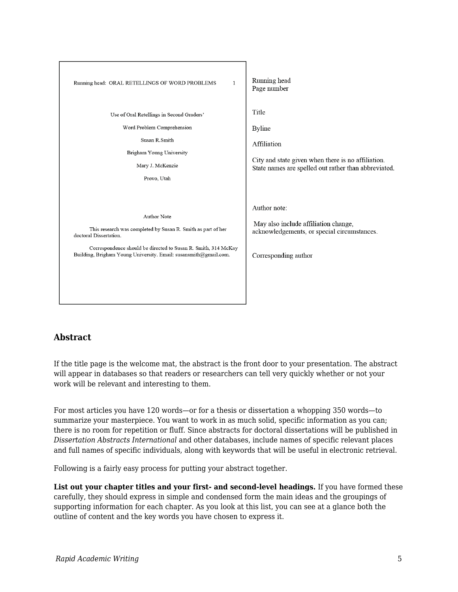

# **Abstract**

If the title page is the welcome mat, the abstract is the front door to your presentation. The abstract will appear in databases so that readers or researchers can tell very quickly whether or not your work will be relevant and interesting to them.

For most articles you have 120 words—or for a thesis or dissertation a whopping 350 words—to summarize your masterpiece. You want to work in as much solid, specific information as you can; there is no room for repetition or fluff. Since abstracts for doctoral dissertations will be published in *Dissertation Abstracts International* and other databases, include names of specific relevant places and full names of specific individuals, along with keywords that will be useful in electronic retrieval.

Following is a fairly easy process for putting your abstract together.

**List out your chapter titles and your first- and second-level headings.** If you have formed these carefully, they should express in simple and condensed form the main ideas and the groupings of supporting information for each chapter. As you look at this list, you can see at a glance both the outline of content and the key words you have chosen to express it.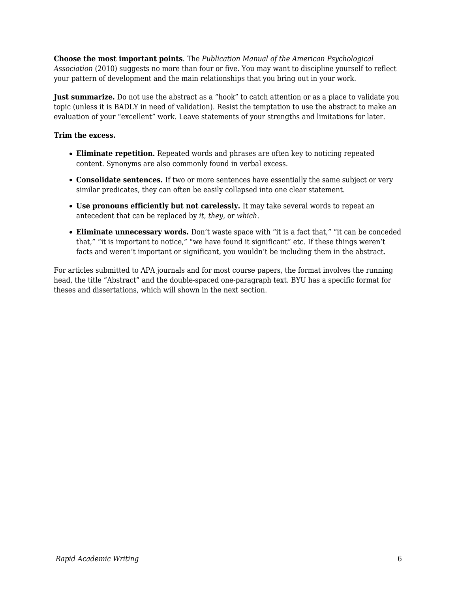**Choose the most important points**. The *Publication Manual of the American Psychological Association* (2010) suggests no more than four or five. You may want to discipline yourself to reflect your pattern of development and the main relationships that you bring out in your work.

**Just summarize.** Do not use the abstract as a "hook" to catch attention or as a place to validate you topic (unless it is BADLY in need of validation). Resist the temptation to use the abstract to make an evaluation of your "excellent" work. Leave statements of your strengths and limitations for later.

### **Trim the excess.**

- **Eliminate repetition.** Repeated words and phrases are often key to noticing repeated content. Synonyms are also commonly found in verbal excess.
- **Consolidate sentences.** If two or more sentences have essentially the same subject or very similar predicates, they can often be easily collapsed into one clear statement.
- **Use pronouns efficiently but not carelessly.** It may take several words to repeat an antecedent that can be replaced by *it*, *they*, or *which*.
- **Eliminate unnecessary words.** Don't waste space with "it is a fact that," "it can be conceded that," "it is important to notice," "we have found it significant" etc. If these things weren't facts and weren't important or significant, you wouldn't be including them in the abstract.

For articles submitted to APA journals and for most course papers, the format involves the running head, the title "Abstract" and the double-spaced one-paragraph text. BYU has a specific format for theses and dissertations, which will shown in the next section.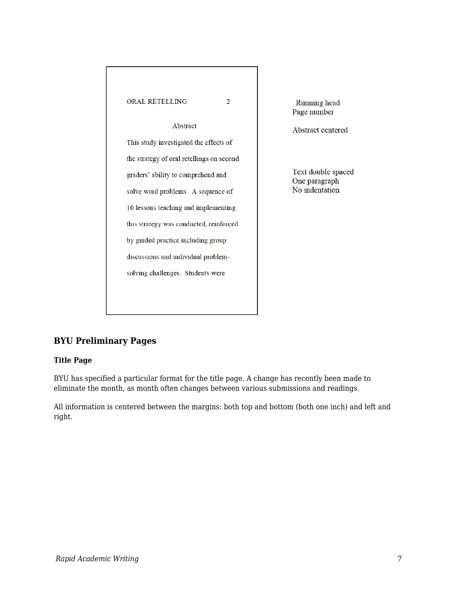

**Running** head Page number

Abstract centered

Text double spaced One paragraph No indentation

# **BYU Preliminary Pages**

### **Title Page**

BYU has specified a particular format for the title page. A change has recently been made to eliminate the month, as month often changes between various submissions and readings.

All information is centered between the margins: both top and bottom (both one inch) and left and right.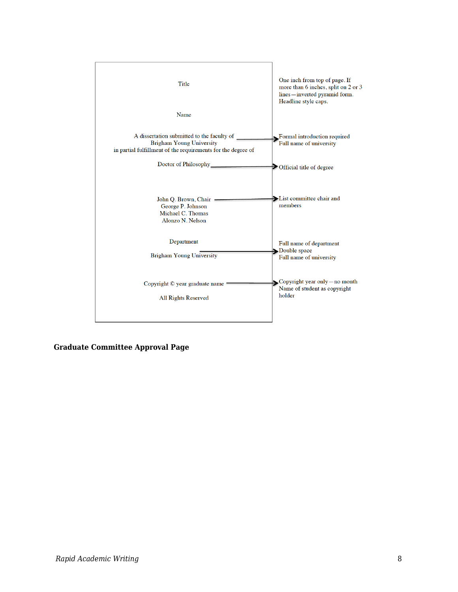

**Graduate Committee Approval Page**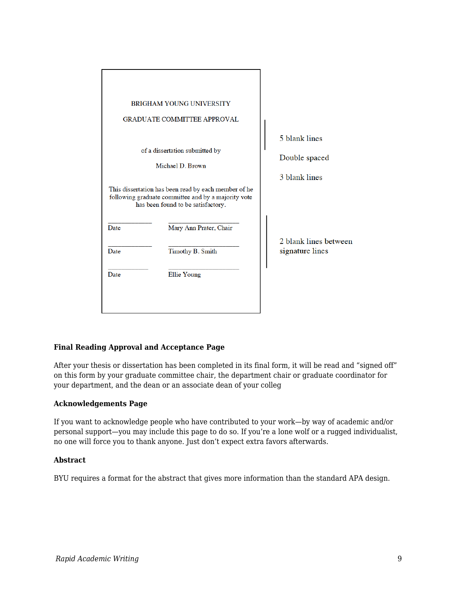|                                                                                                                                                   | <b>BRIGHAM YOUNG UNIVERSITY</b>    |                                          |
|---------------------------------------------------------------------------------------------------------------------------------------------------|------------------------------------|------------------------------------------|
|                                                                                                                                                   | <b>GRADUATE COMMITTEE APPROVAL</b> |                                          |
|                                                                                                                                                   |                                    | 5 blank lines                            |
| of a dissertation submitted by<br>Michael D. Brown                                                                                                |                                    | Double spaced                            |
|                                                                                                                                                   |                                    | 3 blank lines                            |
| This dissertation has been read by each member of he<br>following graduate committee and by a majority vote<br>has been found to be satisfactory. |                                    |                                          |
| Date                                                                                                                                              | Mary Ann Prater, Chair             |                                          |
| Date                                                                                                                                              | Timothy B. Smith                   | 2 blank lines between<br>signature lines |
| Date                                                                                                                                              | Ellie Young                        |                                          |
|                                                                                                                                                   |                                    |                                          |
|                                                                                                                                                   |                                    |                                          |

### **Final Reading Approval and Acceptance Page**

After your thesis or dissertation has been completed in its final form, it will be read and "signed off" on this form by your graduate committee chair, the department chair or graduate coordinator for your department, and the dean or an associate dean of your colleg

### **Acknowledgements Page**

If you want to acknowledge people who have contributed to your work—by way of academic and/or personal support—you may include this page to do so. If you're a lone wolf or a rugged individualist, no one will force you to thank anyone. Just don't expect extra favors afterwards.

#### **Abstract**

BYU requires a format for the abstract that gives more information than the standard APA design.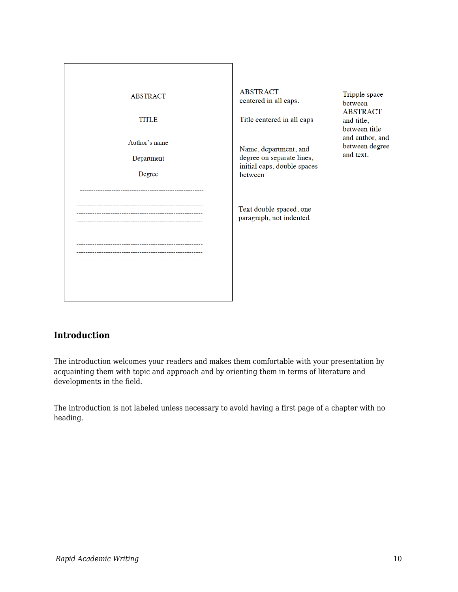| <b>ABSTRACT</b><br>TITLE<br>Author's name<br>Department<br>Degree | <b>ABSTRACT</b><br>Tripple space<br>centered in all caps.<br>between<br><b>ABSTRACT</b><br>Title centered in all caps<br>and title,<br>between title<br>and author, and<br>between degree<br>Name, department, and<br>and text.<br>degree on separate lines,<br>initial caps, double spaces<br>between |  |
|-------------------------------------------------------------------|--------------------------------------------------------------------------------------------------------------------------------------------------------------------------------------------------------------------------------------------------------------------------------------------------------|--|
|                                                                   | Text double spaced, one<br>paragraph, not indented                                                                                                                                                                                                                                                     |  |

# **Introduction**

The introduction welcomes your readers and makes them comfortable with your presentation by acquainting them with topic and approach and by orienting them in terms of literature and developments in the field.

The introduction is not labeled unless necessary to avoid having a first page of a chapter with no heading.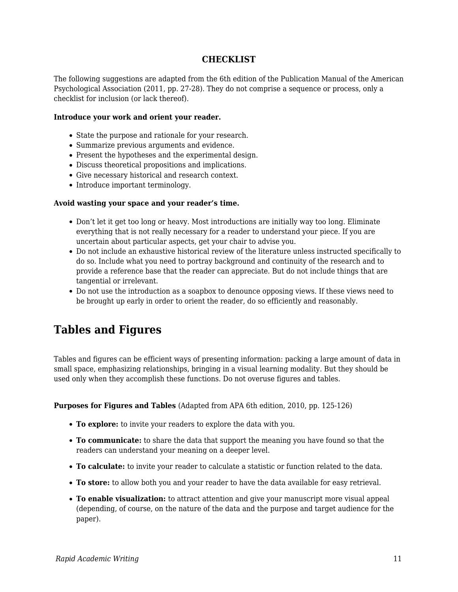## **CHECKLIST**

The following suggestions are adapted from the 6th edition of the Publication Manual of the American Psychological Association (2011, pp. 27-28). They do not comprise a sequence or process, only a checklist for inclusion (or lack thereof).

#### **Introduce your work and orient your reader.**

- State the purpose and rationale for your research.
- Summarize previous arguments and evidence.
- Present the hypotheses and the experimental design.
- Discuss theoretical propositions and implications.
- Give necessary historical and research context.
- Introduce important terminology.

#### **Avoid wasting your space and your reader's time.**

- Don't let it get too long or heavy. Most introductions are initially way too long. Eliminate everything that is not really necessary for a reader to understand your piece. If you are uncertain about particular aspects, get your chair to advise you.
- Do not include an exhaustive historical review of the literature unless instructed specifically to do so. Include what you need to portray background and continuity of the research and to provide a reference base that the reader can appreciate. But do not include things that are tangential or irrelevant.
- Do not use the introduction as a soapbox to denounce opposing views. If these views need to be brought up early in order to orient the reader, do so efficiently and reasonably.

# **Tables and Figures**

Tables and figures can be efficient ways of presenting information: packing a large amount of data in small space, emphasizing relationships, bringing in a visual learning modality. But they should be used only when they accomplish these functions. Do not overuse figures and tables.

**Purposes for Figures and Tables** (Adapted from APA 6th edition, 2010, pp. 125-126)

- **To explore:** to invite your readers to explore the data with you.
- **To communicate:** to share the data that support the meaning you have found so that the readers can understand your meaning on a deeper level.
- **To calculate:** to invite your reader to calculate a statistic or function related to the data.
- **To store:** to allow both you and your reader to have the data available for easy retrieval.
- **To enable visualization:** to attract attention and give your manuscript more visual appeal (depending, of course, on the nature of the data and the purpose and target audience for the paper).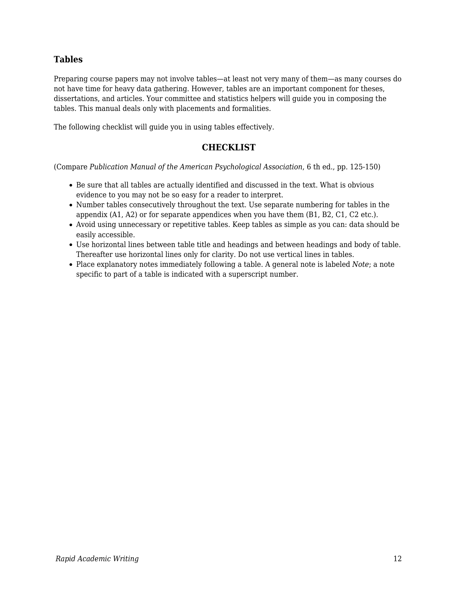# **Tables**

Preparing course papers may not involve tables—at least not very many of them—as many courses do not have time for heavy data gathering. However, tables are an important component for theses, dissertations, and articles. Your committee and statistics helpers will guide you in composing the tables. This manual deals only with placements and formalities.

The following checklist will guide you in using tables effectively.

## **CHECKLIST**

(Compare *Publication Manual of the American Psychological Association*, 6 th ed., pp. 125-150)

- Be sure that all tables are actually identified and discussed in the text. What is obvious evidence to you may not be so easy for a reader to interpret.
- Number tables consecutively throughout the text. Use separate numbering for tables in the appendix (A1, A2) or for separate appendices when you have them (B1, B2, C1, C2 etc.).
- Avoid using unnecessary or repetitive tables. Keep tables as simple as you can: data should be easily accessible.
- Use horizontal lines between table title and headings and between headings and body of table. Thereafter use horizontal lines only for clarity. Do not use vertical lines in tables.
- Place explanatory notes immediately following a table. A general note is labeled *Note*; a note specific to part of a table is indicated with a superscript number.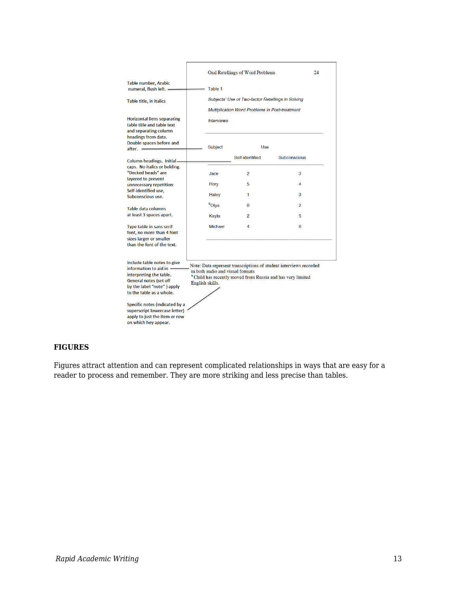|                                                                                                                                                                                                                                                                                                                                                                                                                                                                                                            |  |                                                                     | Oral Retellings of Word Problems | 24             |  |  |
|------------------------------------------------------------------------------------------------------------------------------------------------------------------------------------------------------------------------------------------------------------------------------------------------------------------------------------------------------------------------------------------------------------------------------------------------------------------------------------------------------------|--|---------------------------------------------------------------------|----------------------------------|----------------|--|--|
| Table number, Arabic<br>numeral, flush left. -                                                                                                                                                                                                                                                                                                                                                                                                                                                             |  | Table 1                                                             |                                  |                |  |  |
| Table title, in italics                                                                                                                                                                                                                                                                                                                                                                                                                                                                                    |  | Subjects' Use of Two-factor Retellings in Solving                   |                                  |                |  |  |
| <b>Horizontal liens separating</b><br>table title and table text<br>and separating column                                                                                                                                                                                                                                                                                                                                                                                                                  |  | Multiplication Word Problems in Post-treatment<br><b>Interviews</b> |                                  |                |  |  |
| headings from data.<br>Double spaces before and<br>$after. =$                                                                                                                                                                                                                                                                                                                                                                                                                                              |  | Subject                                                             | Use                              |                |  |  |
| Column headings. Initial-                                                                                                                                                                                                                                                                                                                                                                                                                                                                                  |  |                                                                     | Self-identified                  | Subconscious   |  |  |
| caps. No italics or bolding.<br>"Decked heads" are<br>lavered to prevent                                                                                                                                                                                                                                                                                                                                                                                                                                   |  | Jace                                                                | 2                                | 3              |  |  |
| unnecessary repetition:<br>Self-identified use,                                                                                                                                                                                                                                                                                                                                                                                                                                                            |  | Rory                                                                | 5                                | 4              |  |  |
| Subconscious use.                                                                                                                                                                                                                                                                                                                                                                                                                                                                                          |  | Haley                                                               | 1                                | 3              |  |  |
| <b>Table data columns</b>                                                                                                                                                                                                                                                                                                                                                                                                                                                                                  |  | <b>b</b> Olya                                                       | $\Omega$                         | $\mathfrak{p}$ |  |  |
| at least 3 spaces apart.                                                                                                                                                                                                                                                                                                                                                                                                                                                                                   |  | Kayla                                                               | 2                                | 5              |  |  |
| Type table in sans serif<br>font, no more than 4 font<br>sizes larger or smaller<br>than the font of the text.                                                                                                                                                                                                                                                                                                                                                                                             |  | Michael                                                             | 4                                | 6              |  |  |
| Include table notes to give<br>Note: Data represent transcriptions of student interviews recorded<br>information to aid in $=$<br>in both audio and visual formats<br>interpreting the table.<br><sup>b</sup> Child has recently moved from Russia and has very limited<br>General notes (set off<br>English skills.<br>by the label "note") apply<br>to the table as a whole.<br>Specific notes (indicated by a<br>superscript lowercase letter)<br>apply to just the item or row<br>on which hey appear. |  |                                                                     |                                  |                |  |  |

### **FIGURES**

Figures attract attention and can represent complicated relationships in ways that are easy for a reader to process and remember. They are more striking and less precise than tables.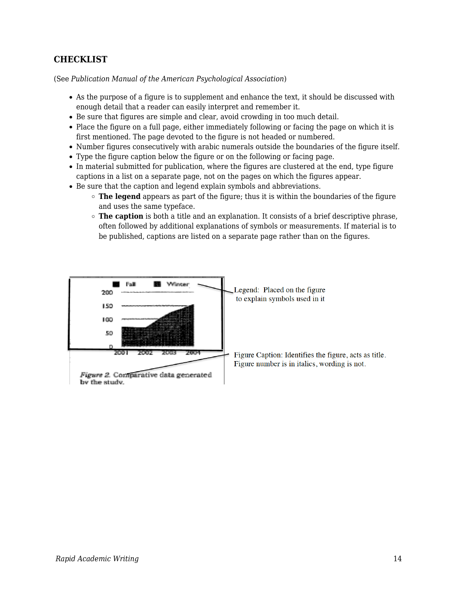# **CHECKLIST**

(See *Publication Manual of the American Psychological Association*)

- As the purpose of a figure is to supplement and enhance the text, it should be discussed with enough detail that a reader can easily interpret and remember it.
- Be sure that figures are simple and clear, avoid crowding in too much detail.
- Place the figure on a full page, either immediately following or facing the page on which it is first mentioned. The page devoted to the figure is not headed or numbered.
- Number figures consecutively with arabic numerals outside the boundaries of the figure itself.
- Type the figure caption below the figure or on the following or facing page.
- In material submitted for publication, where the figures are clustered at the end, type figure captions in a list on a separate page, not on the pages on which the figures appear.
- Be sure that the caption and legend explain symbols and abbreviations.
	- **The legend** appears as part of the figure; thus it is within the boundaries of the figure and uses the same typeface.
	- **The caption** is both a title and an explanation. It consists of a brief descriptive phrase, often followed by additional explanations of symbols or measurements. If material is to be published, captions are listed on a separate page rather than on the figures.

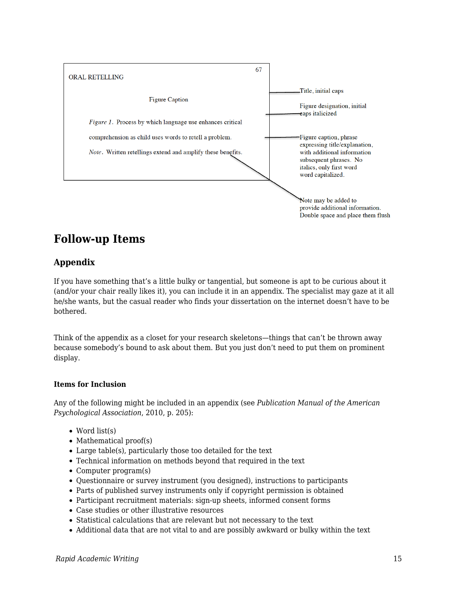

# **Follow-up Items**

# **Appendix**

If you have something that's a little bulky or tangential, but someone is apt to be curious about it (and/or your chair really likes it), you can include it in an appendix. The specialist may gaze at it all he/she wants, but the casual reader who finds your dissertation on the internet doesn't have to be bothered.

Think of the appendix as a closet for your research skeletons—things that can't be thrown away because somebody's bound to ask about them. But you just don't need to put them on prominent display.

### **Items for Inclusion**

Any of the following might be included in an appendix (see *Publication Manual of the American Psychological Association*, 2010, p. 205):

- Word list(s)
- $\bullet$  Mathematical proof(s)
- Large table(s), particularly those too detailed for the text
- Technical information on methods beyond that required in the text
- Computer program(s)
- Questionnaire or survey instrument (you designed), instructions to participants
- Parts of published survey instruments only if copyright permission is obtained
- Participant recruitment materials: sign-up sheets, informed consent forms
- Case studies or other illustrative resources
- Statistical calculations that are relevant but not necessary to the text
- Additional data that are not vital to and are possibly awkward or bulky within the text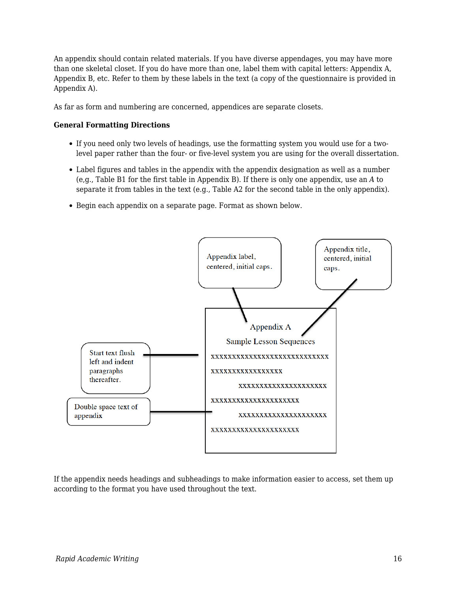An appendix should contain related materials. If you have diverse appendages, you may have more than one skeletal closet. If you do have more than one, label them with capital letters: Appendix A, Appendix B, etc. Refer to them by these labels in the text (a copy of the questionnaire is provided in Appendix A).

As far as form and numbering are concerned, appendices are separate closets.

#### **General Formatting Directions**

- If you need only two levels of headings, use the formatting system you would use for a twolevel paper rather than the four- or five-level system you are using for the overall dissertation.
- Label figures and tables in the appendix with the appendix designation as well as a number (e,g., Table B1 for the first table in Appendix B). If there is only one appendix, use an *A* to separate it from tables in the text (e.g., Table A2 for the second table in the only appendix).
- Begin each appendix on a separate page. Format as shown below.



If the appendix needs headings and subheadings to make information easier to access, set them up according to the format you have used throughout the text.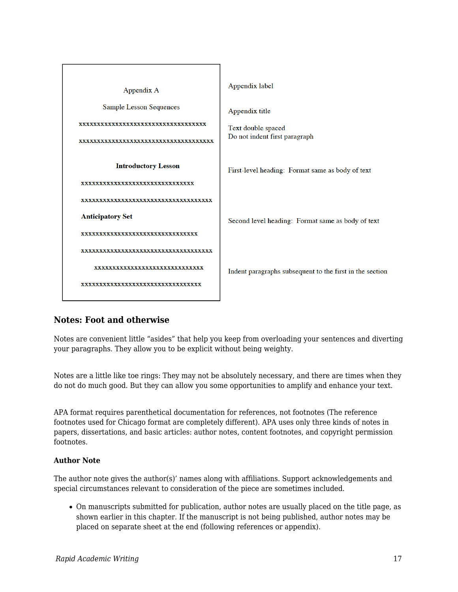

# **Notes: Foot and otherwise**

Notes are convenient little "asides" that help you keep from overloading your sentences and diverting your paragraphs. They allow you to be explicit without being weighty.

Notes are a little like toe rings: They may not be absolutely necessary, and there are times when they do not do much good. But they can allow you some opportunities to amplify and enhance your text.

APA format requires parenthetical documentation for references, not footnotes (The reference footnotes used for Chicago format are completely different). APA uses only three kinds of notes in papers, dissertations, and basic articles: author notes, content footnotes, and copyright permission footnotes.

### **Author Note**

The author note gives the author(s)' names along with affiliations. Support acknowledgements and special circumstances relevant to consideration of the piece are sometimes included.

On manuscripts submitted for publication, author notes are usually placed on the title page, as shown earlier in this chapter. If the manuscript is not being published, author notes may be placed on separate sheet at the end (following references or appendix).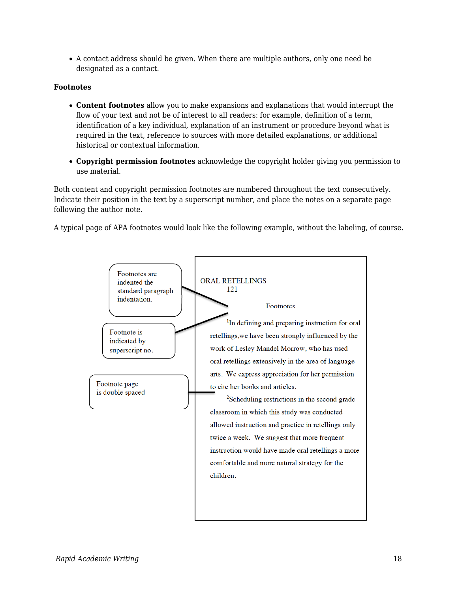A contact address should be given. When there are multiple authors, only one need be designated as a contact.

### **Footnotes**

- **Content footnotes** allow you to make expansions and explanations that would interrupt the flow of your text and not be of interest to all readers: for example, definition of a term, identification of a key individual, explanation of an instrument or procedure beyond what is required in the text, reference to sources with more detailed explanations, or additional historical or contextual information.
- **Copyright permission footnotes** acknowledge the copyright holder giving you permission to use material.

Both content and copyright permission footnotes are numbered throughout the text consecutively. Indicate their position in the text by a superscript number, and place the notes on a separate page following the author note.

A typical page of APA footnotes would look like the following example, without the labeling, of course.